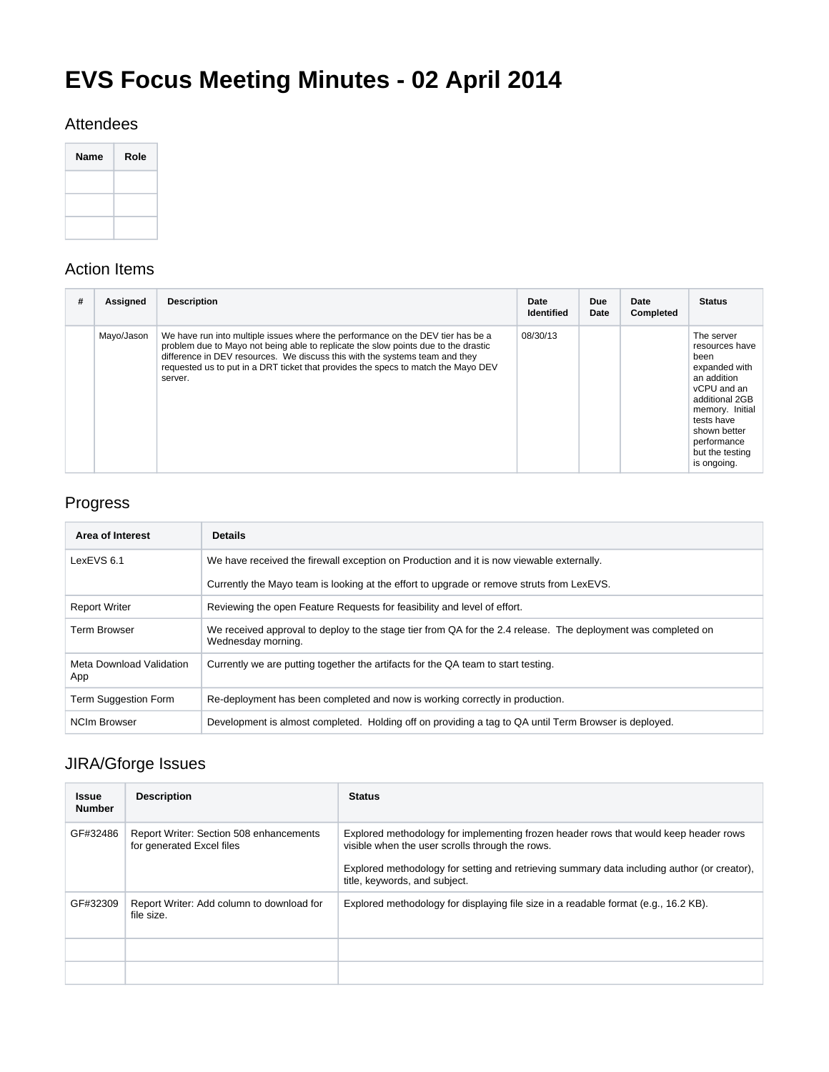# **EVS Focus Meeting Minutes - 02 April 2014**

#### Attendees

| <b>Name</b> | Role |
|-------------|------|
|             |      |
|             |      |
|             |      |

#### Action Items

| # | <b>Assigned</b> | <b>Description</b>                                                                                                                                                                                                                                                                                                                                   | Date<br><b>Identified</b> | Due<br>Date | Date<br><b>Completed</b> | <b>Status</b>                                                                                                                                                                                           |
|---|-----------------|------------------------------------------------------------------------------------------------------------------------------------------------------------------------------------------------------------------------------------------------------------------------------------------------------------------------------------------------------|---------------------------|-------------|--------------------------|---------------------------------------------------------------------------------------------------------------------------------------------------------------------------------------------------------|
|   | Mayo/Jason      | We have run into multiple issues where the performance on the DEV tier has be a<br>problem due to Mayo not being able to replicate the slow points due to the drastic<br>difference in DEV resources. We discuss this with the systems team and they<br>requested us to put in a DRT ticket that provides the specs to match the Mayo DEV<br>server. | 08/30/13                  |             |                          | The server<br>resources have<br>been<br>expanded with<br>an addition<br>vCPU and an<br>additional 2GB<br>memory. Initial<br>tests have<br>shown better<br>performance<br>but the testing<br>is ongoing. |

# Progress

| Area of Interest                | <b>Details</b>                                                                                                                      |  |
|---------------------------------|-------------------------------------------------------------------------------------------------------------------------------------|--|
| LexEVS 6.1                      | We have received the firewall exception on Production and it is now viewable externally.                                            |  |
|                                 | Currently the Mayo team is looking at the effort to upgrade or remove struts from LexEVS.                                           |  |
| <b>Report Writer</b>            | Reviewing the open Feature Requests for feasibility and level of effort.                                                            |  |
| <b>Term Browser</b>             | We received approval to deploy to the stage tier from QA for the 2.4 release. The deployment was completed on<br>Wednesday morning. |  |
| Meta Download Validation<br>App | Currently we are putting together the artifacts for the QA team to start testing.                                                   |  |
| Term Suggestion Form            | Re-deployment has been completed and now is working correctly in production.                                                        |  |
| <b>NCIm Browser</b>             | Development is almost completed. Holding off on providing a tag to QA until Term Browser is deployed.                               |  |

# JIRA/Gforge Issues

| <b>Issue</b><br><b>Number</b> | <b>Description</b>                                                   | <b>Status</b>                                                                                                                                                                                                                                                           |
|-------------------------------|----------------------------------------------------------------------|-------------------------------------------------------------------------------------------------------------------------------------------------------------------------------------------------------------------------------------------------------------------------|
| GF#32486                      | Report Writer: Section 508 enhancements<br>for generated Excel files | Explored methodology for implementing frozen header rows that would keep header rows<br>visible when the user scrolls through the rows.<br>Explored methodology for setting and retrieving summary data including author (or creator),<br>title, keywords, and subject. |
| GF#32309                      | Report Writer: Add column to download for<br>file size.              | Explored methodology for displaying file size in a readable format (e.g., 16.2 KB).                                                                                                                                                                                     |
|                               |                                                                      |                                                                                                                                                                                                                                                                         |
|                               |                                                                      |                                                                                                                                                                                                                                                                         |